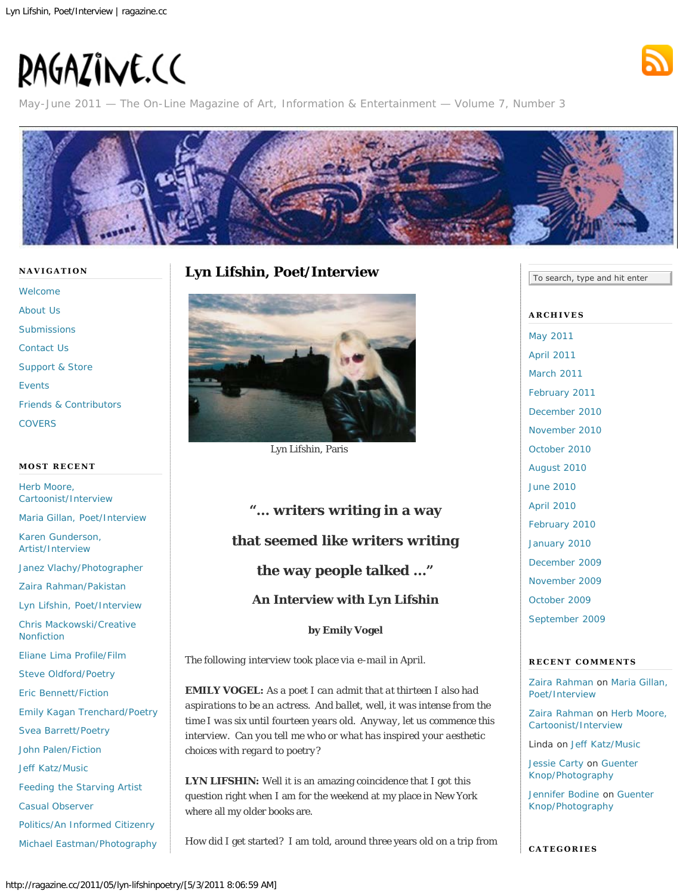# <span id="page-0-0"></span>RAGAZINE.CC



May-June 2011 — The On-Line Magazine of Art, Information & Entertainment — Volume 7, Number 3



#### **NAVIGATION**

[Welcome](http://ragazine.cc/) [About Us](http://ragazine.cc/about-us/) **[Submissions](http://ragazine.cc/submissions/)** [Contact Us](http://ragazine.cc/contact-us/) [Support & Store](http://ragazine.cc/support-ragazine/) [Events](http://ragazine.cc/events-2/) [Friends & Contributors](http://ragazine.cc/friends-contributors/) **[COVERS](http://ragazine.cc/covers/)** 

# **MOST RECENT**

[Herb Moore,](http://ragazine.cc/2011/05/herb-moore/) [Cartoonist/Interview](http://ragazine.cc/2011/05/herb-moore/)

[Maria Gillan, Poet/Interview](http://ragazine.cc/2011/05/maria-gillan-poet-interview/)

[Karen Gunderson,](http://ragazine.cc/2011/05/karen-gunderson-artistinterview/) [Artist/Interview](http://ragazine.cc/2011/05/karen-gunderson-artistinterview/)

[Janez Vlachy/Photographer](http://ragazine.cc/2011/05/vlachy/)

[Zaira Rahman/Pakistan](http://ragazine.cc/2011/05/zaira-rahmanpakistan/)

[Lyn Lifshin, Poet/Interview](#page-0-0)

[Chris Mackowski/Creative](http://ragazine.cc/2011/05/chris-mackowskicreative-nonfiction/) [Nonfiction](http://ragazine.cc/2011/05/chris-mackowskicreative-nonfiction/)

[Eliane Lima Profile/Film](http://ragazine.cc/2011/05/leonora/)

[Steve Oldford/Poetry](http://ragazine.cc/2011/05/steve-oldfordpoetry/)

[Eric Bennett/Fiction](http://ragazine.cc/2011/05/eric-bennettfiction/)

[Emily Kagan Trenchard/Poetry](http://ragazine.cc/2011/05/emily-kagan-trenchardpoetry/)

[Svea Barrett/Poetry](http://ragazine.cc/2011/05/svea-barrettpoetry/)

[John Palen/Fiction](http://ragazine.cc/2011/05/john-palenfiction/)

[Jeff Katz/Music](http://ragazine.cc/2011/05/jeff-katzmusic-3/)

[Feeding the Starving Artist](http://ragazine.cc/2011/05/feeding-the-starving-artist-4/)

[Casual Observer](http://ragazine.cc/2011/05/casual-observer-8/)

[Politics/An Informed Citizenry](http://ragazine.cc/2011/04/civic-depressionpolitics/)

[Michael Eastman/Photography](http://ragazine.cc/2011/04/michael-eastmanphotography/)

# **Lyn Lifshin, Poet/Interview**



Lyn Lifshin, Paris

# **"… writers writing in a way that seemed like writers writing the way people talked …" An Interview with Lyn Lifshin**

**by Emily Vogel**

*The following interview took place via e-mail in April.*

**EMILY VOGEL:** *As a poet I can admit that at thirteen I also had aspirations to be an actress. And ballet, well, it was intense from the time I was six until fourteen years old. Anyway, let us commence this interview. Can you tell me who or what has inspired your aesthetic choices with regard to poetry?*

**LYN LIFSHIN:** Well it is an amazing coincidence that I got this question right when I am for the weekend at my place in New York where all my older books are.

How did I get started? I am told, around three years old on a trip from

To search, type and hit enter

**ARCHIVES** [May 2011](http://ragazine.cc/2011/05/) [April 2011](http://ragazine.cc/2011/04/) [March 2011](http://ragazine.cc/2011/03/) [February 2011](http://ragazine.cc/2011/02/) [December 2010](http://ragazine.cc/2010/12/) [November 2010](http://ragazine.cc/2010/11/) [October 2010](http://ragazine.cc/2010/10/) [August 2010](http://ragazine.cc/2010/08/) [June 2010](http://ragazine.cc/2010/06/) [April 2010](http://ragazine.cc/2010/04/) [February 2010](http://ragazine.cc/2010/02/) [January 2010](http://ragazine.cc/2010/01/) [December 2009](http://ragazine.cc/2009/12/) [November 2009](http://ragazine.cc/2009/11/) [October 2009](http://ragazine.cc/2009/10/) [September 2009](http://ragazine.cc/2009/09/)

#### **RECENT COMMENTS**

[Zaira Rahman](http://zainad.blogspot.com/) on [Maria Gillan,](http://ragazine.cc/2011/05/maria-gillan-poet-interview/comment-page-1/#comment-314) [Poet/Interview](http://ragazine.cc/2011/05/maria-gillan-poet-interview/comment-page-1/#comment-314)

[Zaira Rahman](http://zainad.blogspot.com/) on [Herb Moore,](http://ragazine.cc/2011/05/herb-moore/comment-page-1/#comment-313) [Cartoonist/Interview](http://ragazine.cc/2011/05/herb-moore/comment-page-1/#comment-313)

Linda on [Jeff Katz/Music](http://ragazine.cc/2011/05/jeff-katzmusic-3/comment-page-1/#comment-309)

[Jessie Carty](http://jessiecarty.com/) on [Guenter](http://ragazine.cc/2011/03/guenter-knopphotography/comment-page-1/#comment-294) [Knop/Photography](http://ragazine.cc/2011/03/guenter-knopphotography/comment-page-1/#comment-294)

[Jennifer Bodine](http://www.aaubreybodine.com/) on [Guenter](http://ragazine.cc/2011/03/guenter-knopphotography/comment-page-1/#comment-251) [Knop/Photography](http://ragazine.cc/2011/03/guenter-knopphotography/comment-page-1/#comment-251)

**CATEGORIES**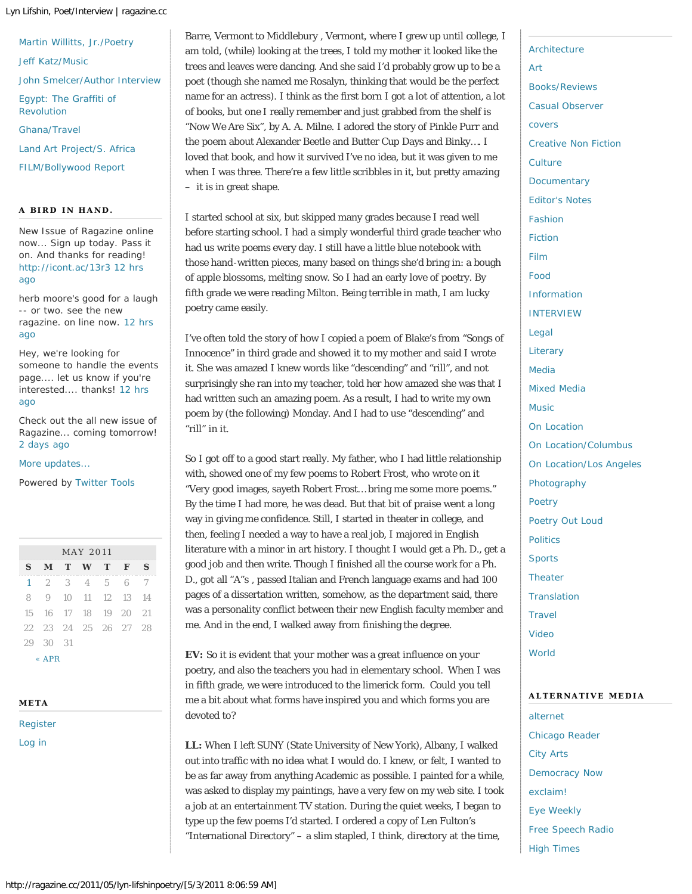#### Lyn Lifshin, Poet/Interview | ragazine.cc

[Martin Willitts, Jr./Poetry](http://ragazine.cc/2011/03/martin-willitts-jr-poetry/) [Jeff Katz/Music](http://ragazine.cc/2011/03/jeff-katzmusic-2/) [John Smelcer/Author Interview](http://ragazine.cc/2011/03/john-smelcerauthor-interview/) [Egypt: The Graffiti of](http://ragazine.cc/2011/03/egypt-the-graffiti-of-revolution/) [Revolution](http://ragazine.cc/2011/03/egypt-the-graffiti-of-revolution/) [Ghana/Travel](http://ragazine.cc/2011/03/ghana-april-2011/) [Land Art Project/S. Africa](http://ragazine.cc/2011/03/soekershof/)

[FILM/Bollywood Report](http://ragazine.cc/2011/03/dhobi-ghat-review/)

#### **A BIRD IN HAND.**

New Issue of Ragazine online now... Sign up today. Pass it on. And thanks for reading! <http://icont.ac/13r3> [12 hrs](http://twitter.com/ragazinecc/statuses/65203998772305920) [ago](http://twitter.com/ragazinecc/statuses/65203998772305920)

herb moore's good for a laugh -- or two. see the new ragazine. on line now. [12 hrs](http://twitter.com/ragazinecc/statuses/65192648398471168) [ago](http://twitter.com/ragazinecc/statuses/65192648398471168)

Hey, we're looking for someone to handle the events page.... let us know if you're interested.... thanks! [12 hrs](http://twitter.com/ragazinecc/statuses/65192540923641857) [ago](http://twitter.com/ragazinecc/statuses/65192540923641857)

Check out the all new issue of Ragazine... coming tomorrow! [2 days ago](http://twitter.com/ragazinecc/statuses/64410130451664896)

[More updates...](http://twitter.com/ragazinecc)

Powered by [Twitter Tools](http://alexking.org/projects/wordpress)

| <b>MAY 2011</b> |             |  |                   |  |                      |     |  |
|-----------------|-------------|--|-------------------|--|----------------------|-----|--|
| S               |             |  | MTWTF             |  |                      | s   |  |
|                 |             |  |                   |  | 1 2 3 4 5 6 7        |     |  |
| 8               |             |  |                   |  | 9 10 11 12 13 14     |     |  |
|                 |             |  | 15 16 17 18 19 20 |  |                      | 2.1 |  |
|                 |             |  |                   |  | 22 23 24 25 26 27 28 |     |  |
|                 | 2.9 3.0 3.1 |  |                   |  |                      |     |  |
|                 |             |  |                   |  |                      |     |  |

[« APR](http://ragazine.cc/2011/04/)

#### **META**

[Register](http://ragazine.cc/wp-login.php?action=register) [Log in](http://ragazine.cc/wp-login.php)

Barre, Vermont to Middlebury , Vermont, where I grew up until college, I am told, (while) looking at the trees, I told my mother it looked like the trees and leaves were dancing. And she said I'd probably grow up to be a poet (though she named me Rosalyn, thinking that would be the perfect name for an actress). I think as the first born I got a lot of attention, a lot of books, but one I really remember and just grabbed from the shelf is "Now We Are Six", by A. A. Milne. I adored the story of Pinkle Purr and the poem about Alexander Beetle and Butter Cup Days and Binky…. I loved that book, and how it survived I've no idea, but it was given to me when I was three. There're a few little scribbles in it, but pretty amazing – it is in great shape.

I started school at six, but skipped many grades because I read well before starting school. I had a simply wonderful third grade teacher who had us write poems every day. I still have a little blue notebook with those hand-written pieces, many based on things she'd bring in: a bough of apple blossoms, melting snow. So I had an early love of poetry. By fifth grade we were reading Milton. Being terrible in math, I am lucky poetry came easily.

I've often told the story of how I copied a poem of Blake's from "Songs of Innocence" in third grade and showed it to my mother and said I wrote it. She was amazed I knew words like "descending" and "rill", and not surprisingly she ran into my teacher, told her how amazed she was that I had written such an amazing poem. As a result, I had to write my own poem by (the following) Monday. And I had to use "descending" and "rill" in it.

So I got off to a good start really. My father, who I had little relationship with, showed one of my few poems to Robert Frost, who wrote on it "Very good images, sayeth Robert Frost… bring me some more poems." By the time I had more, he was dead. But that bit of praise went a long way in giving me confidence. Still, I started in theater in college, and then, feeling I needed a way to have a real job, I majored in English literature with a minor in art history. I thought I would get a Ph. D., get a good job and *then* write. Though I finished all the course work for a Ph. D., got all "A"s , passed Italian and French language exams and had 100 pages of a dissertation written, somehow, as the department said, there was a personality conflict between their new English faculty member and me. And in the end, I walked away from finishing the degree.

**EV:** So it is evident that your mother was a great influence on your poetry, and also the teachers you had in elementary school. When I was in fifth grade, we were introduced to the limerick form. Could you tell me a bit about what forms have inspired you and which forms you are devoted to?

**LL:** When I left SUNY (State University of New York), Albany, I walked out into traffic with no idea what I would do. I knew, or felt, I wanted to be as far away from anything Academic as possible. I painted for a while, was asked to display my paintings, have a very few on my web site. I took a job at an entertainment TV station. During the quiet weeks, I began to type up the few poems I'd started. I ordered a copy of Len Fulton's "International Directory" – a slim stapled, I think, directory at the time,

[Architecture](http://ragazine.cc/category/architecture/) [Art](http://ragazine.cc/category/art/) [Books/Reviews](http://ragazine.cc/category/book-review/) [Casual Observer](http://ragazine.cc/category/essays/) [covers](http://ragazine.cc/category/covers/) [Creative Non Fiction](http://ragazine.cc/category/cnf-creative-non-fiction/) **[Culture](http://ragazine.cc/category/culture/) [Documentary](http://ragazine.cc/category/film/documentary/)** [Editor's Notes](http://ragazine.cc/category/cnf-creative-non-fiction/editors-notes/) [Fashion](http://ragazine.cc/category/fashion/) [Fiction](http://ragazine.cc/category/fiction/) [Film](http://ragazine.cc/category/film/) [Food](http://ragazine.cc/category/food/) [Information](http://ragazine.cc/category/information/) [INTERVIEW](http://ragazine.cc/category/interview-2/) [Legal](http://ragazine.cc/category/legal/) **[Literary](http://ragazine.cc/category/literary/)** [Media](http://ragazine.cc/category/media/) [Mixed Media](http://ragazine.cc/category/mixed-media/) [Music](http://ragazine.cc/category/music/) [On Location](http://ragazine.cc/category/on-location/) [On Location/Columbus](http://ragazine.cc/category/on-location/on-locationcolumbus/) [On Location/Los Angeles](http://ragazine.cc/category/on-location/on-locationlos-angeles/) [Photography](http://ragazine.cc/category/photography/) [Poetry](http://ragazine.cc/category/poetry/) [Poetry Out Loud](http://ragazine.cc/category/poetry-out-loud/) [Politics](http://ragazine.cc/category/politics/) **[Sports](http://ragazine.cc/category/sports/) [Theater](http://ragazine.cc/category/theater/) [Translation](http://ragazine.cc/category/translation-2/) [Travel](http://ragazine.cc/category/travel/)** [Video](http://ragazine.cc/category/video/) [World](http://ragazine.cc/category/world/)

#### **ALTERNATIVE MEDIA**

[alternet](http://www.alternet.org/) [Chicago Reader](http://www.chicagoreader.com/) [City Arts](http://www.manhattanmedia.com/) [Democracy Now](http://www.democracynow.org/) [exclaim!](http://www.exclaim.ca/) [Eye Weekly](http://www.eyeweekly.com/) [Free Speech Radio](http://www.fsrn.org/) [High Times](http://www.hightimes.com/)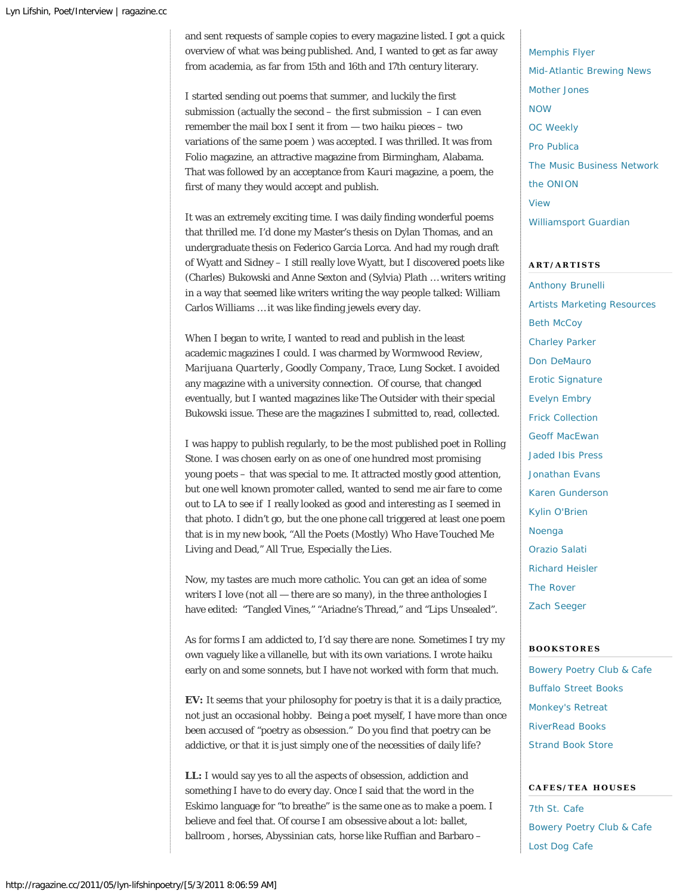and sent requests of sample copies to every magazine listed. I got a quick overview of what was being published. And, I wanted to get as far away from academia, as far from 15th and 16th and 17th century literary.

I started sending out poems that summer, and luckily the first submission (actually the second  $-$  the first submission  $-$  I can even remember the mail box I sent it from — two haiku pieces – two variations of the same poem ) was accepted. I was thrilled. It was from *Folio* magazine, an attractive magazine from Birmingham, Alabama. That was followed by an acceptance from *Kauri* magazine, a poem, the first of many they would accept and publish.

It was an extremely exciting time. I was daily finding wonderful poems that thrilled me. I'd done my Master's thesis on Dylan Thomas, and an undergraduate thesis on Federico Garcia Lorca. And had my rough draft of Wyatt and Sidney – I still really love Wyatt, but I discovered poets like (Charles) Bukowski and Anne Sexton and (Sylvia) Plath … writers writing in a way that seemed like writers writing the way people talked: William Carlos Williams … it was like finding jewels every day.

When I began to write, I wanted to read and publish in the least academic magazines I could. I was charmed by *Wormwood Review*, *Marijuana Quarterly*, *Goodly Company*, *Trace*, *Lung Socket*. I avoided any magazine with a university connection. Of course, that changed eventually, but I wanted magazines like *The Outsider* with their special Bukowski issue. These are the magazines I submitted to, read, collected.

I was happy to publish regularly, to be the most published poet in *Rolling Stone*. I was chosen early on as one of one hundred most promising young poets – that was special to me. It attracted mostly good attention, but one well known promoter called, wanted to send me air fare to come out to LA to see if I really looked as good and interesting as I seemed in that photo. I didn't go, but the one phone call triggered at least one poem that is in my new book, "All the Poets (Mostly) Who Have Touched Me Living and Dead," *All True, Especially the Lies*.

Now, my tastes are much more catholic. You can get an idea of some writers I love (not all — there are so many), in the three anthologies I have edited: "Tangled Vines," "Ariadne's Thread," and "Lips Unsealed".

As for forms I am addicted to, I'd say there are none. Sometimes I try my own vaguely like a villanelle, but with its own variations. I wrote haiku early on and some sonnets, but I have not worked with form that much.

**EV:** It seems that your philosophy for poetry is that it is a daily practice, not just an occasional hobby. Being a poet myself, I have more than once been accused of "poetry as obsession." Do you find that poetry can be addictive, or that it is just simply one of the necessities of daily life?

**LL:** I would say yes to all the aspects of obsession, addiction and something I have to do every day. Once I said that the word in the Eskimo language for "to breathe" is the same one as to make a poem. I believe and feel that. Of course I am obsessive about a lot: ballet, ballroom , horses, Abyssinian cats, horse like Ruffian and Barbaro –

[Memphis Flyer](http://www.memphisflyer.com/) [Mid-Atlantic Brewing News](http://www.brewingnews.com/) [Mother Jones](http://www.motherjones.com/) [NOW](http://www.nowtoronto.com/) [OC Weekly](http://www.ocweekly.com/) [Pro Publica](http://www.propublica.org/) [The Music Business Network](http://www.themusicbusinessnetwork.wordpress.com/) [the ONION](http://www.theonion.com/) [View](http://www.viewmag.com/) [Williamsport Guardian](http://www.williamsportguardian.com/)

#### **ART/ARTISTS**

[Anthony Brunelli](http://www.anthonybrunelli.com/) [Artists Marketing Resources](http://artistmarketingsalon.wordpress.com/) **[Beth McCoy](http://www.batikartbybeth.com/)** [Charley Parker](http://www.linesandcolors.com/) [Don DeMauro](http://www.dondemauro.com/) [Erotic Signature](http://eroticsignature.ning.com/) [Evelyn Embry](http://www.evelynembry.com/) [Frick Collection](http://www.frick.org/) [Geoff MacEwan](http://www.geoffmacewan.blogspot.com/) [Jaded Ibis Press](http://jadedibisproductions.com/JadedIbisPress.html) [Jonathan Evans](http://www.jonathanevans-batikart.com/) [Karen Gunderson](http://www.karengunderson.com/) [Kylin O'Brien](http://www.kylinobrien.net/) [Noenga](http://www.noenga.com/) [Orazio Salati](http://www.oraziosalati.com/gallery1.htm) [Richard Heisler](http://www.richardheisler.com/) [The Rover](http://www.theroversoho.com/) [Zach Seeger](http://www.zachseeger.com/)

#### **BOOKSTORES**

[Bowery Poetry Club & Cafe](http://bowerypoetry.com/) [Buffalo Street Books](http://www.buffalostreetbooks.com/) [Monkey's Retreat](http://www.monkeysretreat.com/) [RiverRead Books](http://www.riverreadbooks.com/) [Strand Book Store](http://www.strandbooks.com/)

# **CAFES/TEA HOUSES**

[7th St. Cafe](http://www.myspace.com/seventhstreetcoffee) [Bowery Poetry Club & Cafe](http://bowerypoetry.com/) [Lost Dog Cafe](http://www.lostdogcafe.net/)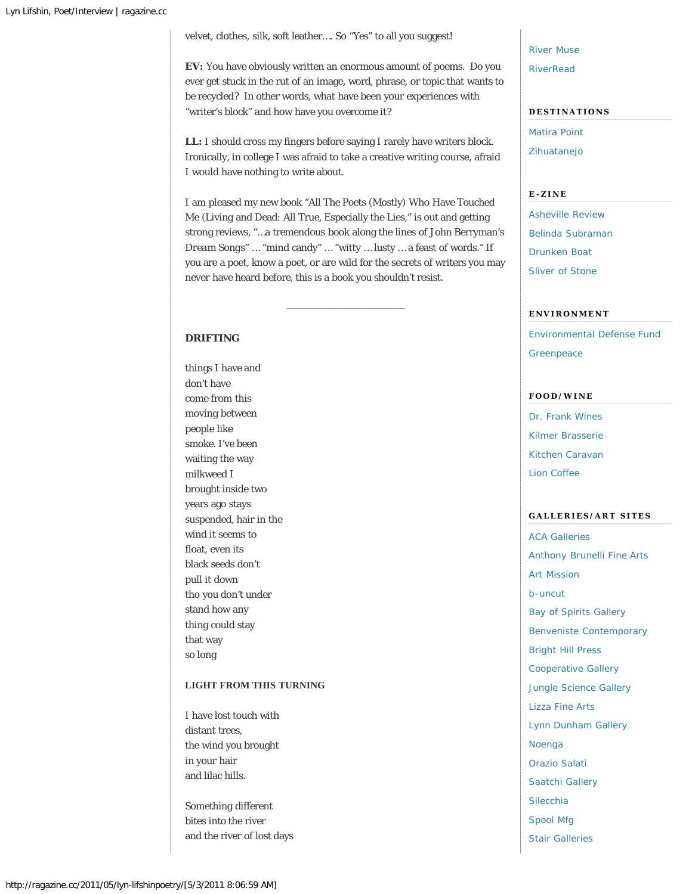velvet, clothes, silk, soft leather…. So "Yes" to all you suggest!

**EV:** You have obviously written an enormous amount of poems. Do you ever get stuck in the rut of an image, word, phrase, or topic that wants to be recycled? In other words, what have been your experiences with "writer's block" and how have you overcome it?

LL: I should cross my fingers before saying I rarely have writers block. Ironically, in college I was afraid to take a creative writing course, afraid I would have nothing to write about.

I am pleased my new book "All The Poets (Mostly) Who Have Touched Me (Living and Dead: All True, Especially the Lies," is out and getting strong reviews, "…a tremendous book along the lines of John Berryman's *Dream Songs*" … "mind candy" … "witty … lusty … a feast of words." If you are a poet, know a poet, or are wild for the secrets of writers you may never have heard before, this is a book you shouldn't resist.

——————————————

# **DRIFTING**

things I have and don't have come from this moving between people like smoke. I've been waiting the way milkweed I brought inside two years ago stays suspended, hair in the wind it seems to float, even its black seeds don't pull it down tho you don't under stand how any thing could stay that way so long

# **LIGHT FROM THIS TURNING**

I have lost touch with distant trees, the wind you brought in your hair and lilac hills.

Something different bites into the river and the river of lost days [River Muse](http://www.facebook.com/rivermuse?_fb_noscript=1) **[RiverRead](http://www.riverread.com/)** 

# **DESTINATIONS**

[Matira Point](http://www.boraboraisland.com/tostay.html) [Zihuatanejo](http://www.zihuatanejo.net/)

# **E-ZINE**

[Asheville Review](http://(www.ashevillereview.com/) [Belinda Subraman](http://belindasubramanpresents.blogspot.com/) [Drunken Boat](http://www.drunkenboat.com/) [Sliver of Stone](http://www.sliverofstone.com/)

#### **ENVIRONMENT**

[Environmental Defense Fund](http://www.edf.org/) **[Greenpeace](http://www.greenpeace.org/)** 

#### **FOOD/WINE**

[Dr. Frank Wines](http://www.drfrankwines.com/) [Kilmer Brasserie](http://www.kilmerbrasserie.com/) [Kitchen Caravan](http://www.kitchencaravan.com/) [Lion Coffee](http://www.lioncoffee.com/)

#### **GALLERIES/ART SITES**

[ACA Galleries](http://www.acagalleries.com/) [Anthony Brunelli Fine Arts](http://www.anthonybrunelli.com/merchandise1.html) [Art Mission](http://www.artmission.org/) [b-uncut](http://www.b-uncut.net/) [Bay of Spirits Gallery](http://www.bayofspirits.on.aibn.com/) [Benveniste Contemporary](http://www.benveniste.com/) [Bright Hill Press](http://www.brighthillpress.org/) [Cooperative Gallery](http://www.cooperativegallery.com/) [Jungle Science Gallery](http://www.junglescience.com/) [Lizza Fine Arts](http://www.lizzastudios.com/) [Lynn Dunham Gallery](http://www.lynndunham.com/) [Noenga](http://www.noenga.com/) [Orazio Salati](http://www.oraziosalati.com/gallery1.htm) [Saatchi Gallery](http://www.saatchigallery.com/) [Silecchia](http://www.galleriasilecchia.com/) [Spool Mfg](http://www.spoolmfg.org/) [Stair Galleries](http://www.stairgalleries.com/)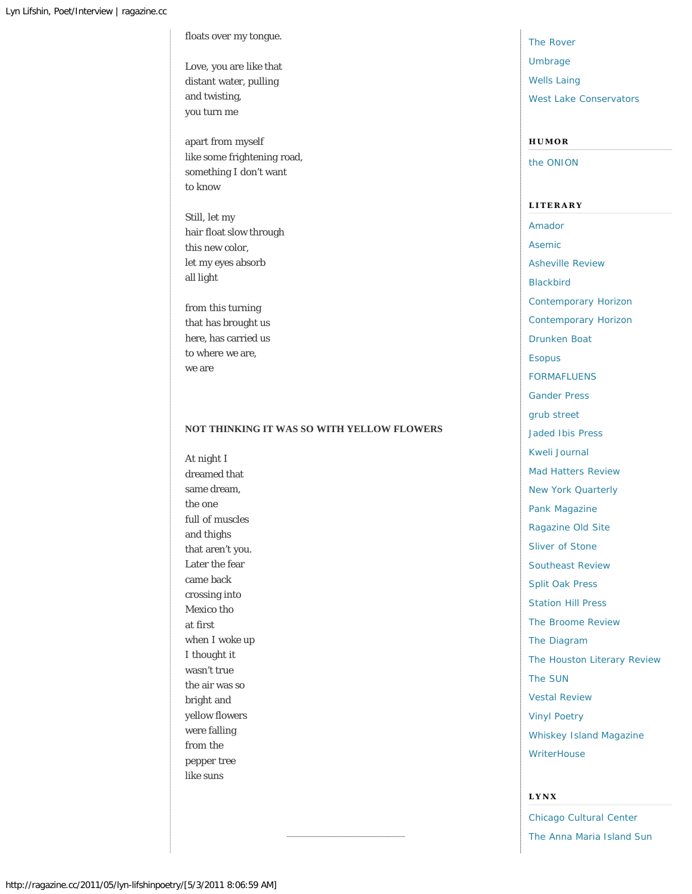floats over my tongue.

Love, you are like that distant water, pulling and twisting, you turn me

apart from myself like some frightening road, something I don't want to know

Still, let my hair float slow through this new color, let my eyes absorb all light

from this turning that has brought us here, has carried us to where we are, we are

# **NOT THINKING IT WAS SO WITH YELLOW FLOWERS**

——————————————

At night I dreamed that same dream, the one full of muscles and thighs that aren't you. Later the fear came back crossing into Mexico tho at first when I woke up I thought it wasn't true the air was so bright and yellow flowers were falling from the pepper tree like suns

[The Rover](http://www.theroversoho.com/) [Umbrage](http://www.umbragegallery.com/) [Wells Laing](http://www.wellslaing.com/) [West Lake Conservators](http://www.westlakeconservators.com/)

#### **HUMOR**

[the ONION](http://www.theonion.com/)

**LITERARY** [Amador](http://www.amadorbooks.com/) [Asemic](http://asemic.net/) [Asheville Review](http://(www.ashevillereview.com/) [Blackbird](http://www.blackbird.vcu.edu/v9n1/) [Contemporary Horizon](http://contemporaryhorizon.blogspot.com/) [Contemporary Horizon](http://contemporaryhorizon.blogspot.com/) [Drunken Boat](http://www.drunkenboat.com/) [Esopus](http://www.esopusmag.com/) [FORMAFLUENS](http://www.formafluens.net/) [Gander Press](http://www.ganderpress.com/) [grub street](http://www.grubstreet.org/) [Jaded Ibis Press](http://jadedibisproductions.com/JadedIbisPress.html) [Kweli Journal](http://www.kwelijournal.com/) [Mad Hatters Review](http://www.madhattersreview.com/) [New York Quarterly](http://www.nyquarterly.org/) [Pank Magazine](http://www.pankmagazine.com/) [Ragazine Old Site](http://ragazine.cc/archives/) [Sliver of Stone](http://www.sliverofstone.com/) [Southeast Review](http://www.southeastreview.org/) [Split Oak Press](http://www.splitoakpress.com/) [Station Hill Press](http://www.stationhill.org/) [The Broome Review](http://www.thebroomereview.com/) [The Diagram](http://thediagram.com/) [The Houston Literary Review](http://thehoustonliteraryreview.com/) [The SUN](http://www.thesunmagazine.org/) [Vestal Review](http://www.vestalreview.net/) [Vinyl Poetry](http://www.vinylpoetry.org/) [Whiskey Island Magazine](http://www.csuohio.edu/whiskey_island/) **[WriterHouse](http://www.writerhouse.org/)** 

# **LYNX**

[Chicago Cultural Center](http://www.chicagoculturalcenter.org/) [The Anna Maria Island Sun](http://www.amisun.com/)